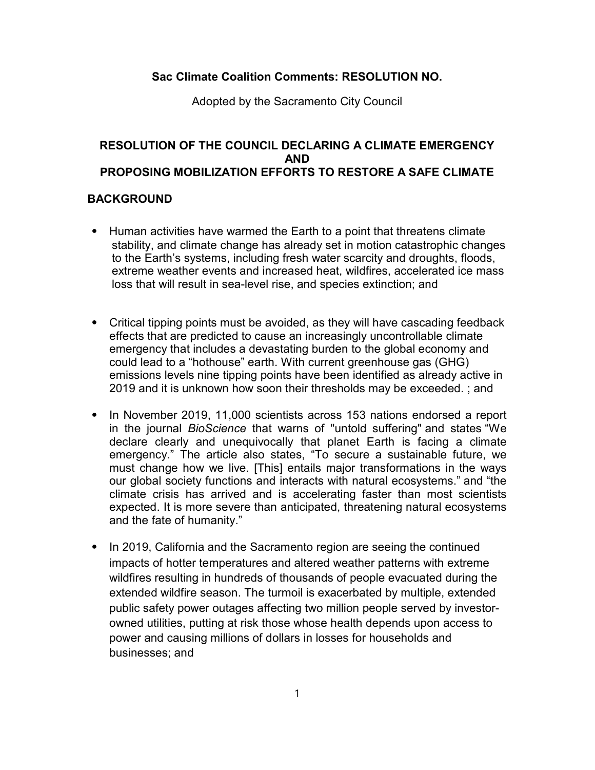## Sac Climate Coalition Comments: RESOLUTION NO.

Adopted by the Sacramento City Council

## RESOLUTION OF THE COUNCIL DECLARING A CLIMATE EMERGENCY AND PROPOSING MOBILIZATION EFFORTS TO RESTORE A SAFE CLIMATE

## BACKGROUND

- ⦁ Human activities have warmed the Earth to a point that threatens climate stability, and climate change has already set in motion catastrophic changes to the Earth's systems, including fresh water scarcity and droughts, floods, extreme weather events and increased heat, wildfires, accelerated ice mass loss that will result in sea-level rise, and species extinction; and
- ⦁ Critical tipping points must be avoided, as they will have cascading feedback effects that are predicted to cause an increasingly uncontrollable climate emergency that includes a devastating burden to the global economy and could lead to a "hothouse" earth. With current greenhouse gas (GHG) emissions levels nine tipping points have been identified as already active in 2019 and it is unknown how soon their thresholds may be exceeded. ; and
- ⦁ In November 2019, 11,000 scientists across 153 nations endorsed a report in the journal BioScience that warns of "untold suffering" and states "We declare clearly and unequivocally that planet Earth is facing a climate emergency." The article also states, "To secure a sustainable future, we must change how we live. [This] entails major transformations in the ways our global society functions and interacts with natural ecosystems." and "the climate crisis has arrived and is accelerating faster than most scientists expected. It is more severe than anticipated, threatening natural ecosystems and the fate of humanity."
- ⦁ In 2019, California and the Sacramento region are seeing the continued impacts of hotter temperatures and altered weather patterns with extreme wildfires resulting in hundreds of thousands of people evacuated during the extended wildfire season. The turmoil is exacerbated by multiple, extended public safety power outages affecting two million people served by investorowned utilities, putting at risk those whose health depends upon access to power and causing millions of dollars in losses for households and businesses; and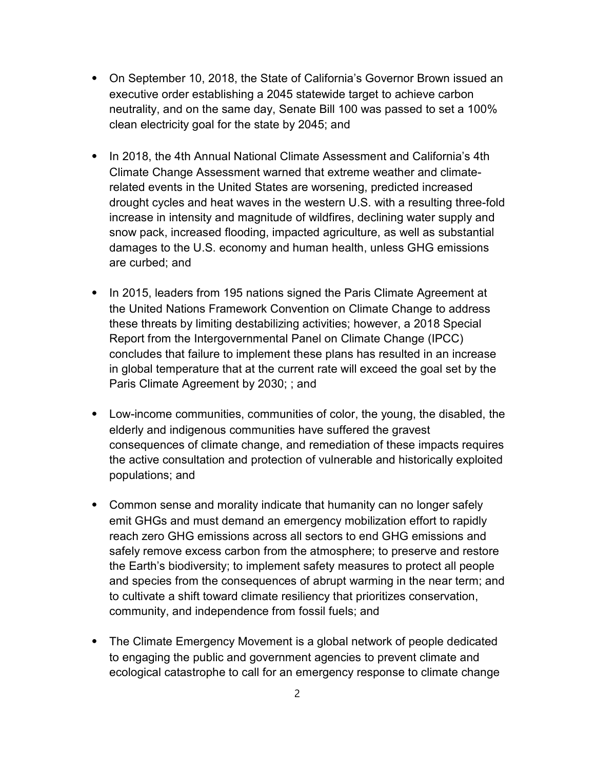- ⦁ On September 10, 2018, the State of California's Governor Brown issued an executive order establishing a 2045 statewide target to achieve carbon neutrality, and on the same day, Senate Bill 100 was passed to set a 100% clean electricity goal for the state by 2045; and
- ⦁ In 2018, the 4th Annual National Climate Assessment and California's 4th Climate Change Assessment warned that extreme weather and climaterelated events in the United States are worsening, predicted increased drought cycles and heat waves in the western U.S. with a resulting three-fold increase in intensity and magnitude of wildfires, declining water supply and snow pack, increased flooding, impacted agriculture, as well as substantial damages to the U.S. economy and human health, unless GHG emissions are curbed; and
- ⦁ In 2015, leaders from 195 nations signed the Paris Climate Agreement at the United Nations Framework Convention on Climate Change to address these threats by limiting destabilizing activities; however, a 2018 Special Report from the Intergovernmental Panel on Climate Change (IPCC) concludes that failure to implement these plans has resulted in an increase in global temperature that at the current rate will exceed the goal set by the Paris Climate Agreement by 2030; ; and
- ⦁ Low-income communities, communities of color, the young, the disabled, the elderly and indigenous communities have suffered the gravest consequences of climate change, and remediation of these impacts requires the active consultation and protection of vulnerable and historically exploited populations; and
- ⦁ Common sense and morality indicate that humanity can no longer safely emit GHGs and must demand an emergency mobilization effort to rapidly reach zero GHG emissions across all sectors to end GHG emissions and safely remove excess carbon from the atmosphere; to preserve and restore the Earth's biodiversity; to implement safety measures to protect all people and species from the consequences of abrupt warming in the near term; and to cultivate a shift toward climate resiliency that prioritizes conservation, community, and independence from fossil fuels; and
- ⦁ The Climate Emergency Movement is a global network of people dedicated to engaging the public and government agencies to prevent climate and ecological catastrophe to call for an emergency response to climate change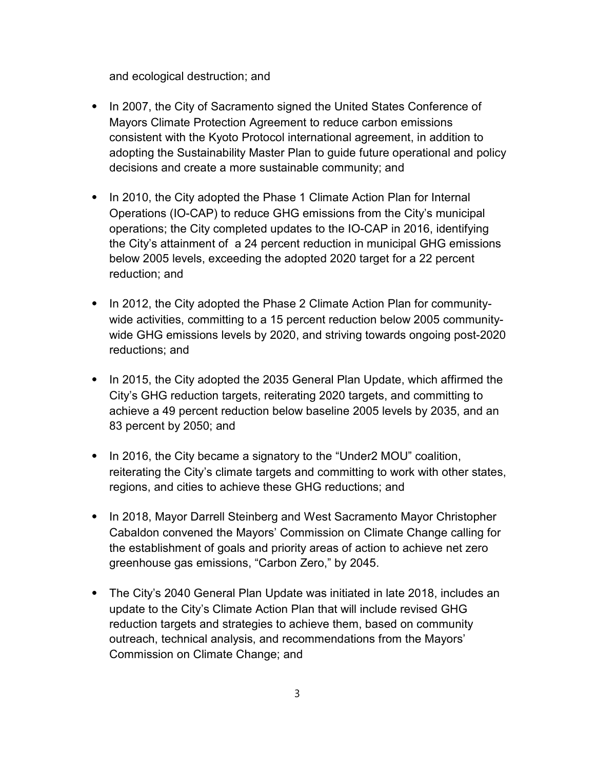and ecological destruction; and

- ⦁ In 2007, the City of Sacramento signed the United States Conference of Mayors Climate Protection Agreement to reduce carbon emissions consistent with the Kyoto Protocol international agreement, in addition to adopting the Sustainability Master Plan to guide future operational and policy decisions and create a more sustainable community; and
- ⦁ In 2010, the City adopted the Phase 1 Climate Action Plan for Internal Operations (IO-CAP) to reduce GHG emissions from the City's municipal operations; the City completed updates to the IO-CAP in 2016, identifying the City's attainment of a 24 percent reduction in municipal GHG emissions below 2005 levels, exceeding the adopted 2020 target for a 22 percent reduction; and
- ⦁ In 2012, the City adopted the Phase 2 Climate Action Plan for communitywide activities, committing to a 15 percent reduction below 2005 communitywide GHG emissions levels by 2020, and striving towards ongoing post-2020 reductions; and
- ⦁ In 2015, the City adopted the 2035 General Plan Update, which affirmed the City's GHG reduction targets, reiterating 2020 targets, and committing to achieve a 49 percent reduction below baseline 2005 levels by 2035, and an 83 percent by 2050; and
- ⦁ In 2016, the City became a signatory to the "Under2 MOU" coalition, reiterating the City's climate targets and committing to work with other states, regions, and cities to achieve these GHG reductions; and
- ⦁ In 2018, Mayor Darrell Steinberg and West Sacramento Mayor Christopher Cabaldon convened the Mayors' Commission on Climate Change calling for the establishment of goals and priority areas of action to achieve net zero greenhouse gas emissions, "Carbon Zero," by 2045.
- ⦁ The City's 2040 General Plan Update was initiated in late 2018, includes an update to the City's Climate Action Plan that will include revised GHG reduction targets and strategies to achieve them, based on community outreach, technical analysis, and recommendations from the Mayors' Commission on Climate Change; and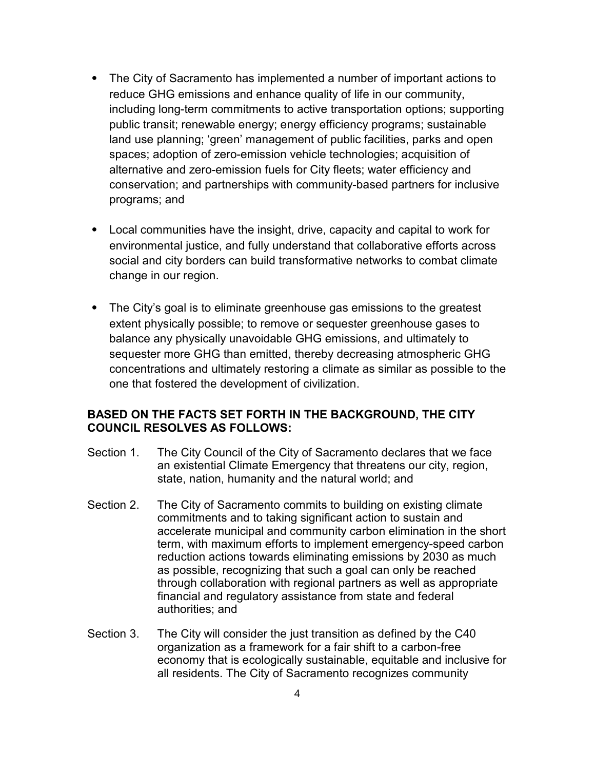- ⦁ The City of Sacramento has implemented a number of important actions to reduce GHG emissions and enhance quality of life in our community, including long-term commitments to active transportation options; supporting public transit; renewable energy; energy efficiency programs; sustainable land use planning; 'green' management of public facilities, parks and open spaces; adoption of zero-emission vehicle technologies; acquisition of alternative and zero-emission fuels for City fleets; water efficiency and conservation; and partnerships with community-based partners for inclusive programs; and
- ⦁ Local communities have the insight, drive, capacity and capital to work for environmental justice, and fully understand that collaborative efforts across social and city borders can build transformative networks to combat climate change in our region.
- ⦁ The City's goal is to eliminate greenhouse gas emissions to the greatest extent physically possible; to remove or sequester greenhouse gases to balance any physically unavoidable GHG emissions, and ultimately to sequester more GHG than emitted, thereby decreasing atmospheric GHG concentrations and ultimately restoring a climate as similar as possible to the one that fostered the development of civilization.

## BASED ON THE FACTS SET FORTH IN THE BACKGROUND, THE CITY COUNCIL RESOLVES AS FOLLOWS:

- Section 1. The City Council of the City of Sacramento declares that we face an existential Climate Emergency that threatens our city, region, state, nation, humanity and the natural world; and
- Section 2. The City of Sacramento commits to building on existing climate commitments and to taking significant action to sustain and accelerate municipal and community carbon elimination in the short term, with maximum efforts to implement emergency-speed carbon reduction actions towards eliminating emissions by 2030 as much as possible, recognizing that such a goal can only be reached through collaboration with regional partners as well as appropriate financial and regulatory assistance from state and federal authorities; and
- Section 3. The City will consider the just transition as defined by the C40 organization as a framework for a fair shift to a carbon-free economy that is ecologically sustainable, equitable and inclusive for all residents. The City of Sacramento recognizes community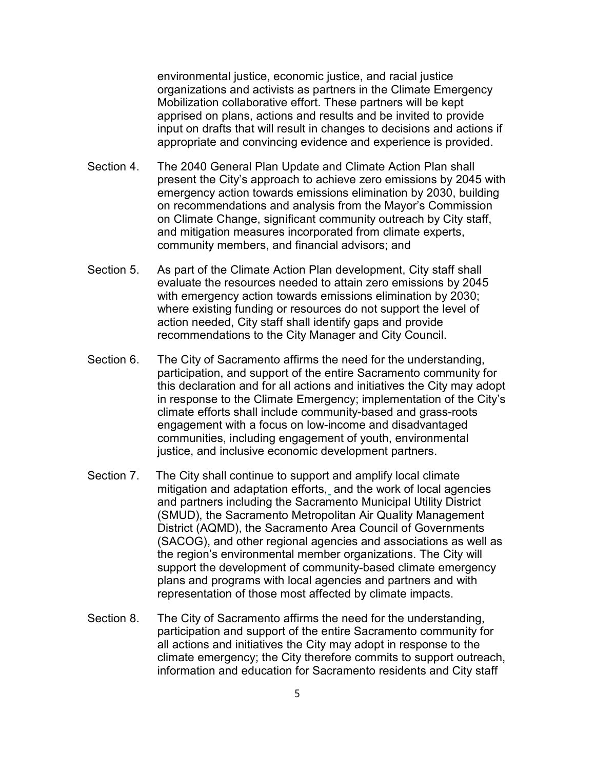environmental justice, economic justice, and racial justice organizations and activists as partners in the Climate Emergency Mobilization collaborative effort. These partners will be kept apprised on plans, actions and results and be invited to provide input on drafts that will result in changes to decisions and actions if appropriate and convincing evidence and experience is provided.

- Section 4. The 2040 General Plan Update and Climate Action Plan shall present the City's approach to achieve zero emissions by 2045 with emergency action towards emissions elimination by 2030, building on recommendations and analysis from the Mayor's Commission on Climate Change, significant community outreach by City staff, and mitigation measures incorporated from climate experts, community members, and financial advisors; and
- Section 5. As part of the Climate Action Plan development, City staff shall evaluate the resources needed to attain zero emissions by 2045 with emergency action towards emissions elimination by 2030; where existing funding or resources do not support the level of action needed, City staff shall identify gaps and provide recommendations to the City Manager and City Council.
- Section 6. The City of Sacramento affirms the need for the understanding, participation, and support of the entire Sacramento community for this declaration and for all actions and initiatives the City may adopt in response to the Climate Emergency; implementation of the City's climate efforts shall include community-based and grass-roots engagement with a focus on low-income and disadvantaged communities, including engagement of youth, environmental justice, and inclusive economic development partners.
- Section 7. The City shall continue to support and amplify local climate mitigation and adaptation efforts, and the work of local agencies and partners including the Sacramento Municipal Utility District (SMUD), the Sacramento Metropolitan Air Quality Management District (AQMD), the Sacramento Area Council of Governments (SACOG), and other regional agencies and associations as well as the region's environmental member organizations. The City will support the development of community-based climate emergency plans and programs with local agencies and partners and with representation of those most affected by climate impacts.
- Section 8. The City of Sacramento affirms the need for the understanding, participation and support of the entire Sacramento community for all actions and initiatives the City may adopt in response to the climate emergency; the City therefore commits to support outreach, information and education for Sacramento residents and City staff